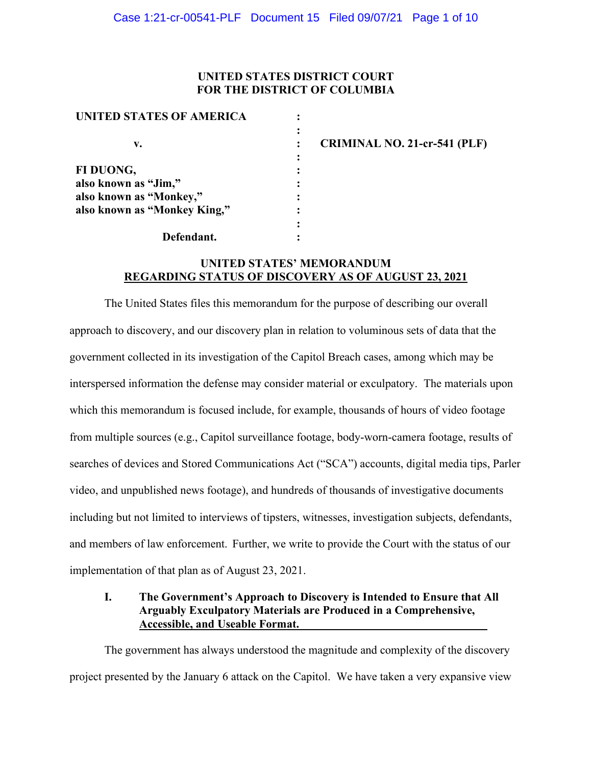## **UNITED STATES DISTRICT COURT FOR THE DISTRICT OF COLUMBIA**

| UNITED STATES OF AMERICA     |  |
|------------------------------|--|
|                              |  |
| v.                           |  |
|                              |  |
| FI DUONG,                    |  |
| also known as "Jim,"         |  |
| also known as "Monkey,"      |  |
| also known as "Monkey King," |  |
|                              |  |
| Defendant.                   |  |

**CRIMINAL NO. 21-cr-541 (PLF)**

## **UNITED STATES' MEMORANDUM REGARDING STATUS OF DISCOVERY AS OF AUGUST 23, 2021**

The United States files this memorandum for the purpose of describing our overall approach to discovery, and our discovery plan in relation to voluminous sets of data that the government collected in its investigation of the Capitol Breach cases, among which may be interspersed information the defense may consider material or exculpatory. The materials upon which this memorandum is focused include, for example, thousands of hours of video footage from multiple sources (e.g., Capitol surveillance footage, body-worn-camera footage, results of searches of devices and Stored Communications Act ("SCA") accounts, digital media tips, Parler video, and unpublished news footage), and hundreds of thousands of investigative documents including but not limited to interviews of tipsters, witnesses, investigation subjects, defendants, and members of law enforcement. Further, we write to provide the Court with the status of our implementation of that plan as of August 23, 2021.

# **I. The Government's Approach to Discovery is Intended to Ensure that All Arguably Exculpatory Materials are Produced in a Comprehensive, Accessible, and Useable Format.**

The government has always understood the magnitude and complexity of the discovery project presented by the January 6 attack on the Capitol. We have taken a very expansive view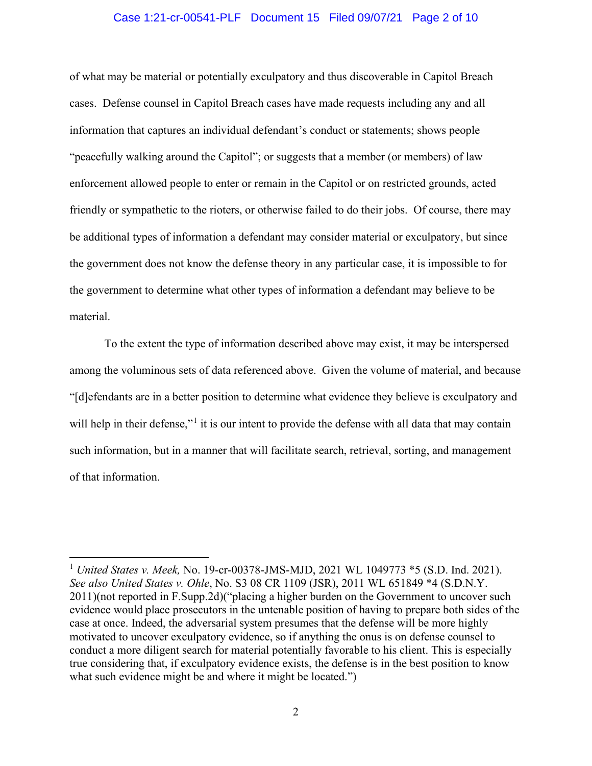#### Case 1:21-cr-00541-PLF Document 15 Filed 09/07/21 Page 2 of 10

of what may be material or potentially exculpatory and thus discoverable in Capitol Breach cases. Defense counsel in Capitol Breach cases have made requests including any and all information that captures an individual defendant's conduct or statements; shows people "peacefully walking around the Capitol"; or suggests that a member (or members) of law enforcement allowed people to enter or remain in the Capitol or on restricted grounds, acted friendly or sympathetic to the rioters, or otherwise failed to do their jobs. Of course, there may be additional types of information a defendant may consider material or exculpatory, but since the government does not know the defense theory in any particular case, it is impossible to for the government to determine what other types of information a defendant may believe to be material.

To the extent the type of information described above may exist, it may be interspersed among the voluminous sets of data referenced above. Given the volume of material, and because "[d]efendants are in a better position to determine what evidence they believe is exculpatory and will help in their defense,"<sup>1</sup> it is our intent to provide the defense with all data that may contain such information, but in a manner that will facilitate search, retrieval, sorting, and management of that information.

<sup>1</sup> *United States v. Meek,* No. 19-cr-00378-JMS-MJD, 2021 WL 1049773 \*5 (S.D. Ind. 2021). *See also United States v. Ohle*, No. S3 08 CR 1109 (JSR), 2011 WL 651849 \*4 (S.D.N.Y. 2011)(not reported in F.Supp.2d)("placing a higher burden on the Government to uncover such evidence would place prosecutors in the untenable position of having to prepare both sides of the case at once. Indeed, the adversarial system presumes that the defense will be more highly motivated to uncover exculpatory evidence, so if anything the onus is on defense counsel to conduct a more diligent search for material potentially favorable to his client. This is especially true considering that, if exculpatory evidence exists, the defense is in the best position to know what such evidence might be and where it might be located.")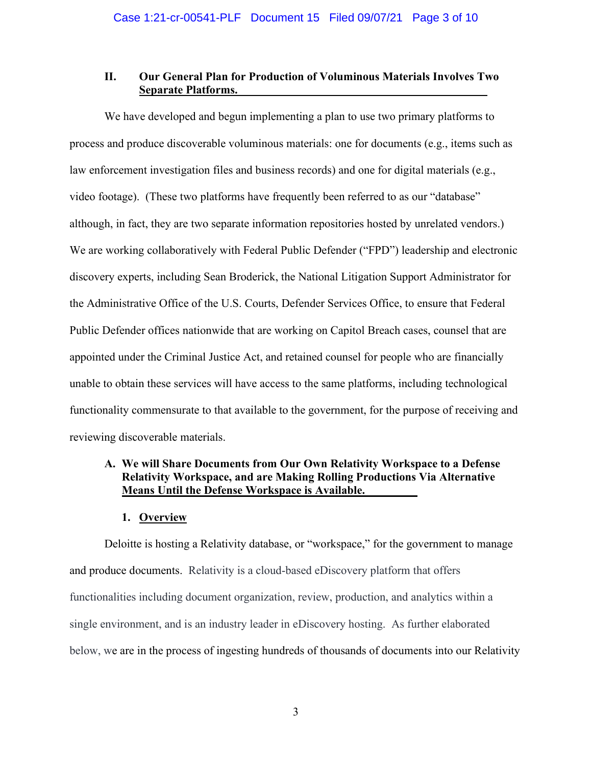## **II. Our General Plan for Production of Voluminous Materials Involves Two Separate Platforms.**

We have developed and begun implementing a plan to use two primary platforms to process and produce discoverable voluminous materials: one for documents (e.g., items such as law enforcement investigation files and business records) and one for digital materials (e.g., video footage). (These two platforms have frequently been referred to as our "database" although, in fact, they are two separate information repositories hosted by unrelated vendors.) We are working collaboratively with Federal Public Defender ("FPD") leadership and electronic discovery experts, including Sean Broderick, the National Litigation Support Administrator for the Administrative Office of the U.S. Courts, Defender Services Office, to ensure that Federal Public Defender offices nationwide that are working on Capitol Breach cases, counsel that are appointed under the Criminal Justice Act, and retained counsel for people who are financially unable to obtain these services will have access to the same platforms, including technological functionality commensurate to that available to the government, for the purpose of receiving and reviewing discoverable materials.

# **A. We will Share Documents from Our Own Relativity Workspace to a Defense Relativity Workspace, and are Making Rolling Productions Via Alternative Means Until the Defense Workspace is Available.**

## **1. Overview**

Deloitte is hosting a Relativity database, or "workspace," for the government to manage and produce documents. Relativity is a cloud-based eDiscovery platform that offers functionalities including document organization, review, production, and analytics within a single environment, and is an industry leader in eDiscovery hosting. As further elaborated below, we are in the process of ingesting hundreds of thousands of documents into our Relativity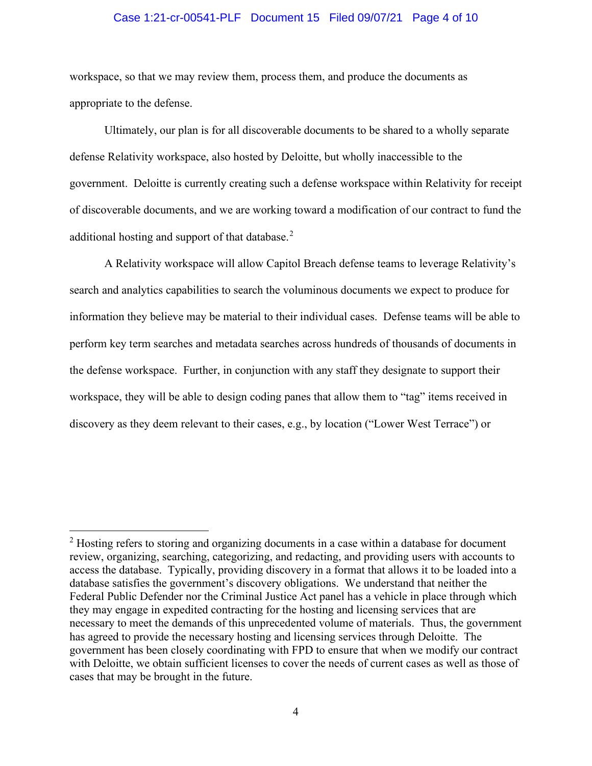#### Case 1:21-cr-00541-PLF Document 15 Filed 09/07/21 Page 4 of 10

workspace, so that we may review them, process them, and produce the documents as appropriate to the defense.

Ultimately, our plan is for all discoverable documents to be shared to a wholly separate defense Relativity workspace, also hosted by Deloitte, but wholly inaccessible to the government. Deloitte is currently creating such a defense workspace within Relativity for receipt of discoverable documents, and we are working toward a modification of our contract to fund the additional hosting and support of that database.<sup>2</sup>

A Relativity workspace will allow Capitol Breach defense teams to leverage Relativity's search and analytics capabilities to search the voluminous documents we expect to produce for information they believe may be material to their individual cases. Defense teams will be able to perform key term searches and metadata searches across hundreds of thousands of documents in the defense workspace. Further, in conjunction with any staff they designate to support their workspace, they will be able to design coding panes that allow them to "tag" items received in discovery as they deem relevant to their cases, e.g., by location ("Lower West Terrace") or

<sup>&</sup>lt;sup>2</sup> Hosting refers to storing and organizing documents in a case within a database for document review, organizing, searching, categorizing, and redacting, and providing users with accounts to access the database. Typically, providing discovery in a format that allows it to be loaded into a database satisfies the government's discovery obligations. We understand that neither the Federal Public Defender nor the Criminal Justice Act panel has a vehicle in place through which they may engage in expedited contracting for the hosting and licensing services that are necessary to meet the demands of this unprecedented volume of materials. Thus, the government has agreed to provide the necessary hosting and licensing services through Deloitte. The government has been closely coordinating with FPD to ensure that when we modify our contract with Deloitte, we obtain sufficient licenses to cover the needs of current cases as well as those of cases that may be brought in the future.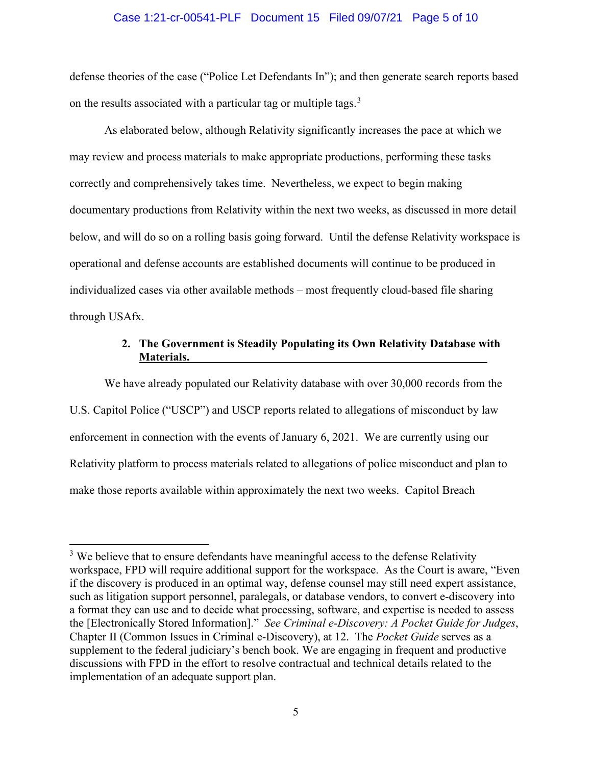#### Case 1:21-cr-00541-PLF Document 15 Filed 09/07/21 Page 5 of 10

defense theories of the case ("Police Let Defendants In"); and then generate search reports based on the results associated with a particular tag or multiple tags.<sup>3</sup>

As elaborated below, although Relativity significantly increases the pace at which we may review and process materials to make appropriate productions, performing these tasks correctly and comprehensively takes time. Nevertheless, we expect to begin making documentary productions from Relativity within the next two weeks, as discussed in more detail below, and will do so on a rolling basis going forward. Until the defense Relativity workspace is operational and defense accounts are established documents will continue to be produced in individualized cases via other available methods – most frequently cloud-based file sharing through USAfx.

## **2. The Government is Steadily Populating its Own Relativity Database with Materials.**

We have already populated our Relativity database with over 30,000 records from the U.S. Capitol Police ("USCP") and USCP reports related to allegations of misconduct by law enforcement in connection with the events of January 6, 2021. We are currently using our Relativity platform to process materials related to allegations of police misconduct and plan to make those reports available within approximately the next two weeks. Capitol Breach

 $3$  We believe that to ensure defendants have meaningful access to the defense Relativity workspace, FPD will require additional support for the workspace. As the Court is aware, "Even if the discovery is produced in an optimal way, defense counsel may still need expert assistance, such as litigation support personnel, paralegals, or database vendors, to convert e-discovery into a format they can use and to decide what processing, software, and expertise is needed to assess the [Electronically Stored Information]." *See Criminal e-Discovery: A Pocket Guide for Judges*, Chapter II (Common Issues in Criminal e-Discovery), at 12.The *Pocket Guide* serves as a supplement to the federal judiciary's bench book. We are engaging in frequent and productive discussions with FPD in the effort to resolve contractual and technical details related to the implementation of an adequate support plan.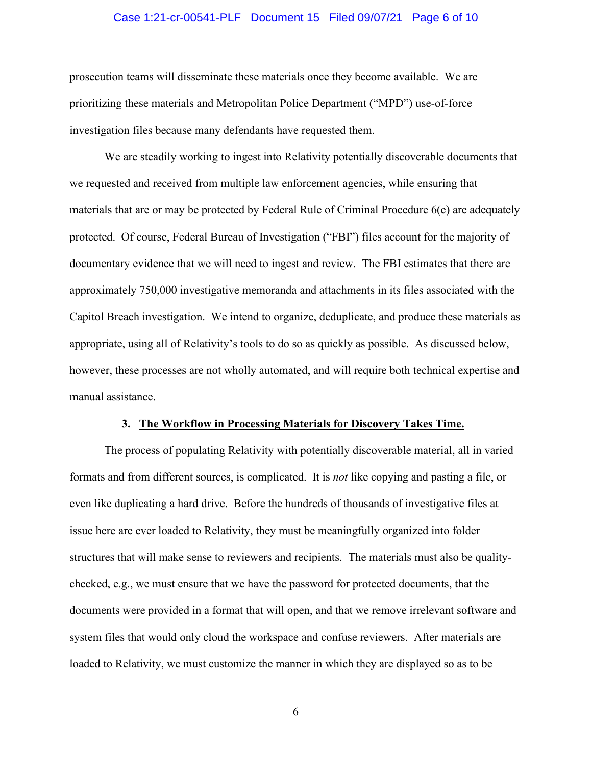#### Case 1:21-cr-00541-PLF Document 15 Filed 09/07/21 Page 6 of 10

prosecution teams will disseminate these materials once they become available. We are prioritizing these materials and Metropolitan Police Department ("MPD") use-of-force investigation files because many defendants have requested them.

We are steadily working to ingest into Relativity potentially discoverable documents that we requested and received from multiple law enforcement agencies, while ensuring that materials that are or may be protected by Federal Rule of Criminal Procedure 6(e) are adequately protected. Of course, Federal Bureau of Investigation ("FBI") files account for the majority of documentary evidence that we will need to ingest and review. The FBI estimates that there are approximately 750,000 investigative memoranda and attachments in its files associated with the Capitol Breach investigation. We intend to organize, deduplicate, and produce these materials as appropriate, using all of Relativity's tools to do so as quickly as possible. As discussed below, however, these processes are not wholly automated, and will require both technical expertise and manual assistance.

#### **3. The Workflow in Processing Materials for Discovery Takes Time.**

The process of populating Relativity with potentially discoverable material, all in varied formats and from different sources, is complicated. It is *not* like copying and pasting a file, or even like duplicating a hard drive. Before the hundreds of thousands of investigative files at issue here are ever loaded to Relativity, they must be meaningfully organized into folder structures that will make sense to reviewers and recipients. The materials must also be qualitychecked, e.g., we must ensure that we have the password for protected documents, that the documents were provided in a format that will open, and that we remove irrelevant software and system files that would only cloud the workspace and confuse reviewers. After materials are loaded to Relativity, we must customize the manner in which they are displayed so as to be

6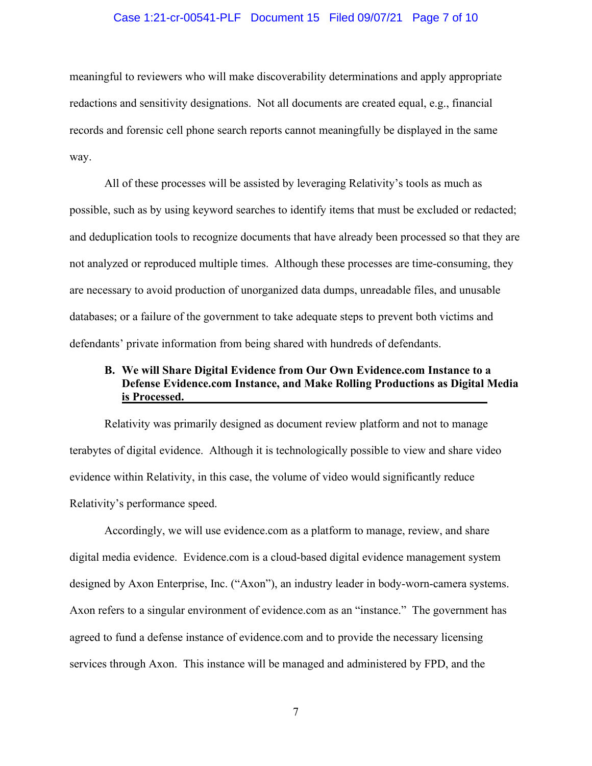#### Case 1:21-cr-00541-PLF Document 15 Filed 09/07/21 Page 7 of 10

meaningful to reviewers who will make discoverability determinations and apply appropriate redactions and sensitivity designations. Not all documents are created equal, e.g., financial records and forensic cell phone search reports cannot meaningfully be displayed in the same way.

All of these processes will be assisted by leveraging Relativity's tools as much as possible, such as by using keyword searches to identify items that must be excluded or redacted; and deduplication tools to recognize documents that have already been processed so that they are not analyzed or reproduced multiple times. Although these processes are time-consuming, they are necessary to avoid production of unorganized data dumps, unreadable files, and unusable databases; or a failure of the government to take adequate steps to prevent both victims and defendants' private information from being shared with hundreds of defendants.

## **B. We will Share Digital Evidence from Our Own Evidence.com Instance to a Defense Evidence.com Instance, and Make Rolling Productions as Digital Media is Processed.**

Relativity was primarily designed as document review platform and not to manage terabytes of digital evidence. Although it is technologically possible to view and share video evidence within Relativity, in this case, the volume of video would significantly reduce Relativity's performance speed.

Accordingly, we will use evidence.com as a platform to manage, review, and share digital media evidence. Evidence.com is a cloud-based digital evidence management system designed by Axon Enterprise, Inc. ("Axon"), an industry leader in body-worn-camera systems. Axon refers to a singular environment of evidence.com as an "instance." The government has agreed to fund a defense instance of evidence.com and to provide the necessary licensing services through Axon. This instance will be managed and administered by FPD, and the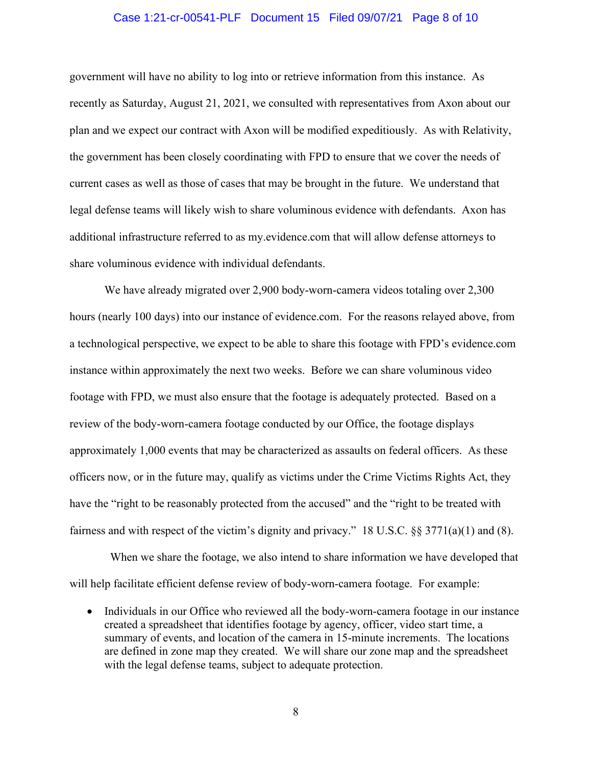#### Case 1:21-cr-00541-PLF Document 15 Filed 09/07/21 Page 8 of 10

government will have no ability to log into or retrieve information from this instance. As recently as Saturday, August 21, 2021, we consulted with representatives from Axon about our plan and we expect our contract with Axon will be modified expeditiously. As with Relativity, the government has been closely coordinating with FPD to ensure that we cover the needs of current cases as well as those of cases that may be brought in the future. We understand that legal defense teams will likely wish to share voluminous evidence with defendants. Axon has additional infrastructure referred to as my.evidence.com that will allow defense attorneys to share voluminous evidence with individual defendants.

We have already migrated over 2,900 body-worn-camera videos totaling over 2,300 hours (nearly 100 days) into our instance of evidence.com. For the reasons relayed above, from a technological perspective, we expect to be able to share this footage with FPD's evidence.com instance within approximately the next two weeks. Before we can share voluminous video footage with FPD, we must also ensure that the footage is adequately protected. Based on a review of the body-worn-camera footage conducted by our Office, the footage displays approximately 1,000 events that may be characterized as assaults on federal officers. As these officers now, or in the future may, qualify as victims under the Crime Victims Rights Act, they have the "right to be reasonably protected from the accused" and the "right to be treated with fairness and with respect of the victim's dignity and privacy." 18 U.S.C. §§ 3771(a)(1) and (8).

 When we share the footage, we also intend to share information we have developed that will help facilitate efficient defense review of body-worn-camera footage. For example:

• Individuals in our Office who reviewed all the body-worn-camera footage in our instance created a spreadsheet that identifies footage by agency, officer, video start time, a summary of events, and location of the camera in 15-minute increments. The locations are defined in zone map they created. We will share our zone map and the spreadsheet with the legal defense teams, subject to adequate protection.

8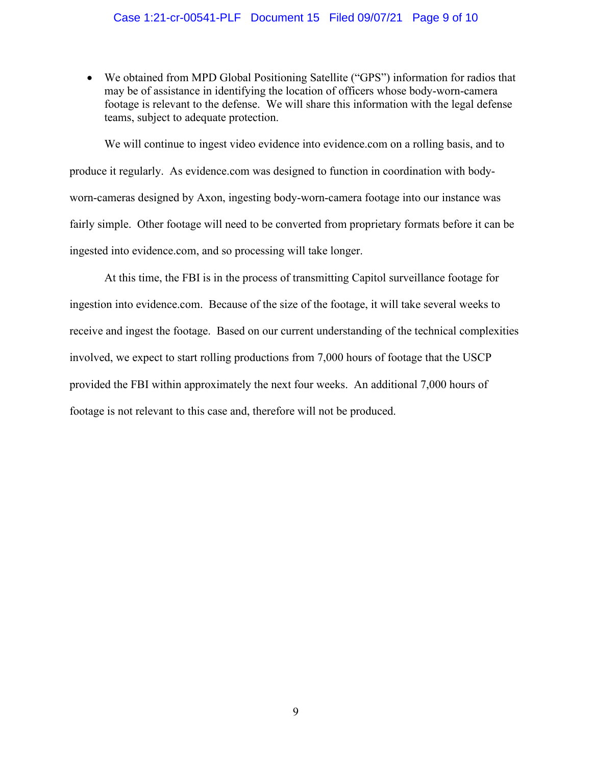### Case 1:21-cr-00541-PLF Document 15 Filed 09/07/21 Page 9 of 10

• We obtained from MPD Global Positioning Satellite ("GPS") information for radios that may be of assistance in identifying the location of officers whose body-worn-camera footage is relevant to the defense. We will share this information with the legal defense teams, subject to adequate protection.

We will continue to ingest video evidence into evidence.com on a rolling basis, and to produce it regularly. As evidence.com was designed to function in coordination with bodyworn-cameras designed by Axon, ingesting body-worn-camera footage into our instance was fairly simple. Other footage will need to be converted from proprietary formats before it can be ingested into evidence.com, and so processing will take longer.

At this time, the FBI is in the process of transmitting Capitol surveillance footage for ingestion into evidence.com. Because of the size of the footage, it will take several weeks to receive and ingest the footage. Based on our current understanding of the technical complexities involved, we expect to start rolling productions from 7,000 hours of footage that the USCP provided the FBI within approximately the next four weeks. An additional 7,000 hours of footage is not relevant to this case and, therefore will not be produced.